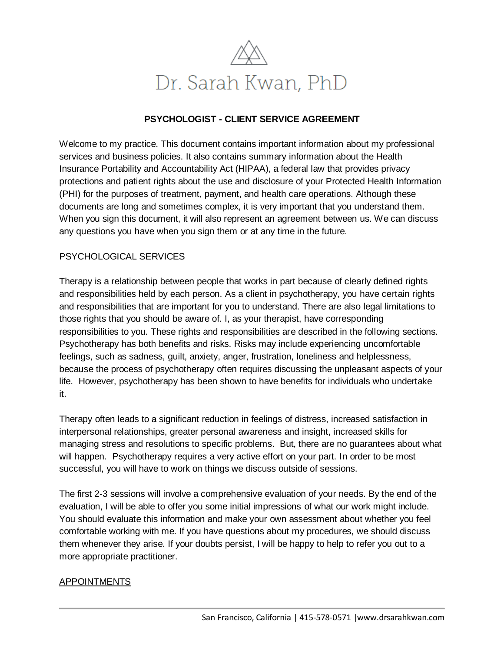

#### **PSYCHOLOGIST - CLIENT SERVICE AGREEMENT**

Welcome to my practice. This document contains important information about my professional services and business policies. It also contains summary information about the Health Insurance Portability and Accountability Act (HIPAA), a federal law that provides privacy protections and patient rights about the use and disclosure of your Protected Health Information (PHI) for the purposes of treatment, payment, and health care operations. Although these documents are long and sometimes complex, it is very important that you understand them. When you sign this document, it will also represent an agreement between us. We can discuss any questions you have when you sign them or at any time in the future.

#### PSYCHOLOGICAL SERVICES

Therapy is a relationship between people that works in part because of clearly defined rights and responsibilities held by each person. As a client in psychotherapy, you have certain rights and responsibilities that are important for you to understand. There are also legal limitations to those rights that you should be aware of. I, as your therapist, have corresponding responsibilities to you. These rights and responsibilities are described in the following sections. Psychotherapy has both benefits and risks. Risks may include experiencing uncomfortable feelings, such as sadness, guilt, anxiety, anger, frustration, loneliness and helplessness, because the process of psychotherapy often requires discussing the unpleasant aspects of your life. However, psychotherapy has been shown to have benefits for individuals who undertake it.

Therapy often leads to a significant reduction in feelings of distress, increased satisfaction in interpersonal relationships, greater personal awareness and insight, increased skills for managing stress and resolutions to specific problems. But, there are no guarantees about what will happen. Psychotherapy requires a very active effort on your part. In order to be most successful, you will have to work on things we discuss outside of sessions.

The first 2-3 sessions will involve a comprehensive evaluation of your needs. By the end of the evaluation, I will be able to offer you some initial impressions of what our work might include. You should evaluate this information and make your own assessment about whether you feel comfortable working with me. If you have questions about my procedures, we should discuss them whenever they arise. If your doubts persist, I will be happy to help to refer you out to a more appropriate practitioner.

#### APPOINTMENTS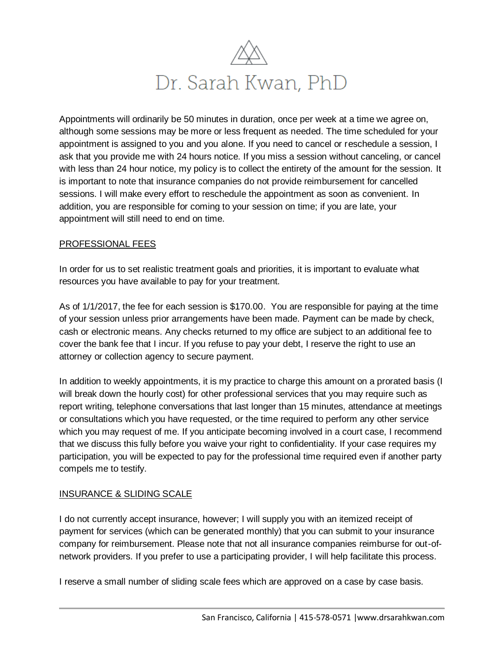

Appointments will ordinarily be 50 minutes in duration, once per week at a time we agree on, although some sessions may be more or less frequent as needed. The time scheduled for your appointment is assigned to you and you alone. If you need to cancel or reschedule a session, I ask that you provide me with 24 hours notice. If you miss a session without canceling, or cancel with less than 24 hour notice, my policy is to collect the entirety of the amount for the session. It is important to note that insurance companies do not provide reimbursement for cancelled sessions. I will make every effort to reschedule the appointment as soon as convenient. In addition, you are responsible for coming to your session on time; if you are late, your appointment will still need to end on time.

#### PROFESSIONAL FEES

In order for us to set realistic treatment goals and priorities, it is important to evaluate what resources you have available to pay for your treatment.

As of 1/1/2017, the fee for each session is \$170.00. You are responsible for paying at the time of your session unless prior arrangements have been made. Payment can be made by check, cash or electronic means. Any checks returned to my office are subject to an additional fee to cover the bank fee that I incur. If you refuse to pay your debt, I reserve the right to use an attorney or collection agency to secure payment.

In addition to weekly appointments, it is my practice to charge this amount on a prorated basis (I will break down the hourly cost) for other professional services that you may require such as report writing, telephone conversations that last longer than 15 minutes, attendance at meetings or consultations which you have requested, or the time required to perform any other service which you may request of me. If you anticipate becoming involved in a court case, I recommend that we discuss this fully before you waive your right to confidentiality. If your case requires my participation, you will be expected to pay for the professional time required even if another party compels me to testify.

## INSURANCE & SLIDING SCALE

I do not currently accept insurance, however; I will supply you with an itemized receipt of payment for services (which can be generated monthly) that you can submit to your insurance company for reimbursement. Please note that not all insurance companies reimburse for out-ofnetwork providers. If you prefer to use a participating provider, I will help facilitate this process.

I reserve a small number of sliding scale fees which are approved on a case by case basis.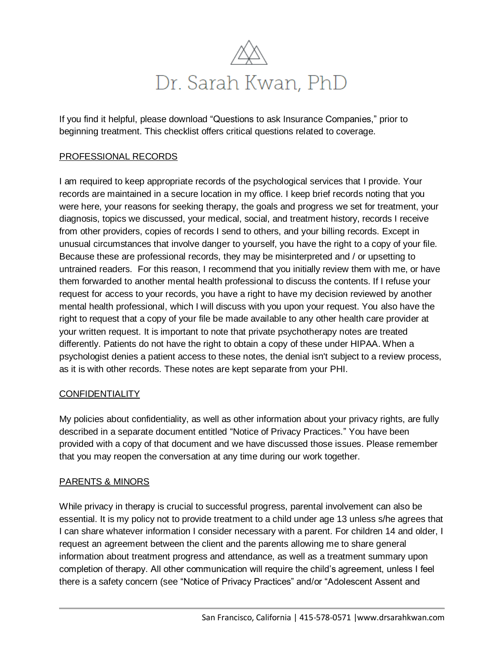

If you find it helpful, please download "Questions to ask Insurance Companies," prior to beginning treatment. This checklist offers critical questions related to coverage.

## PROFESSIONAL RECORDS

I am required to keep appropriate records of the psychological services that I provide. Your records are maintained in a secure location in my office. I keep brief records noting that you were here, your reasons for seeking therapy, the goals and progress we set for treatment, your diagnosis, topics we discussed, your medical, social, and treatment history, records I receive from other providers, copies of records I send to others, and your billing records. Except in unusual circumstances that involve danger to yourself, you have the right to a copy of your file. Because these are professional records, they may be misinterpreted and / or upsetting to untrained readers. For this reason, I recommend that you initially review them with me, or have them forwarded to another mental health professional to discuss the contents. If I refuse your request for access to your records, you have a right to have my decision reviewed by another mental health professional, which I will discuss with you upon your request. You also have the right to request that a copy of your file be made available to any other health care provider at your written request. It is important to note that private psychotherapy notes are treated differently. Patients do not have the right to obtain a copy of these under HIPAA. When a psychologist denies a patient access to these notes, the denial isn't subject to a review process, as it is with other records. These notes are kept separate from your PHI.

## **CONFIDENTIALITY**

My policies about confidentiality, as well as other information about your privacy rights, are fully described in a separate document entitled "Notice of Privacy Practices." You have been provided with a copy of that document and we have discussed those issues. Please remember that you may reopen the conversation at any time during our work together.

## PARENTS & MINORS

While privacy in therapy is crucial to successful progress, parental involvement can also be essential. It is my policy not to provide treatment to a child under age 13 unless s/he agrees that I can share whatever information I consider necessary with a parent. For children 14 and older, I request an agreement between the client and the parents allowing me to share general information about treatment progress and attendance, as well as a treatment summary upon completion of therapy. All other communication will require the child's agreement, unless I feel there is a safety concern (see "Notice of Privacy Practices" and/or "Adolescent Assent and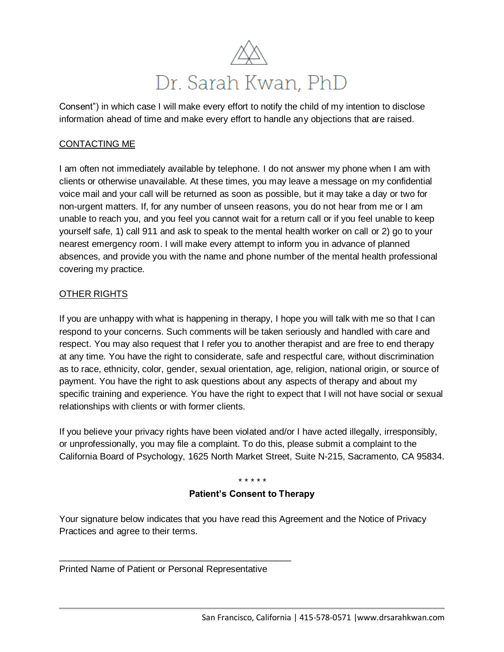

Consent") in which case I will make every effort to notify the child of my intention to disclose information ahead of time and make every effort to handle any objections that are raised.

## CONTACTING ME

I am often not immediately available by telephone. I do not answer my phone when I am with clients or otherwise unavailable. At these times, you may leave a message on my confidential voice mail and your call will be returned as soon as possible, but it may take a day or two for non-urgent matters. If, for any number of unseen reasons, you do not hear from me or I am unable to reach you, and you feel you cannot wait for a return call or if you feel unable to keep yourself safe, 1) call 911 and ask to speak to the mental health worker on call or 2) go to your nearest emergency room. I will make every attempt to inform you in advance of planned absences, and provide you with the name and phone number of the mental health professional covering my practice.

## OTHER RIGHTS

If you are unhappy with what is happening in therapy, I hope you will talk with me so that I can respond to your concerns. Such comments will be taken seriously and handled with care and respect. You may also request that I refer you to another therapist and are free to end therapy at any time. You have the right to considerate, safe and respectful care, without discrimination as to race, ethnicity, color, gender, sexual orientation, age, religion, national origin, or source of payment. You have the right to ask questions about any aspects of therapy and about my specific training and experience. You have the right to expect that I will not have social or sexual relationships with clients or with former clients.

If you believe your privacy rights have been violated and/or I have acted illegally, irresponsibly, or unprofessionally, you may file a complaint. To do this, please submit a complaint to the California Board of Psychology, 1625 North Market Street, Suite N-215, Sacramento, CA 95834.

#### *\* \* \* \* \**

## **Patient's Consent to Therapy**

Your signature below indicates that you have read this Agreement and the Notice of Privacy Practices and agree to their terms.

Printed Name of Patient or Personal Representative

\_\_\_\_\_\_\_\_\_\_\_\_\_\_\_\_\_\_\_\_\_\_\_\_\_\_\_\_\_\_\_\_\_\_\_\_\_\_\_\_\_\_\_\_\_\_